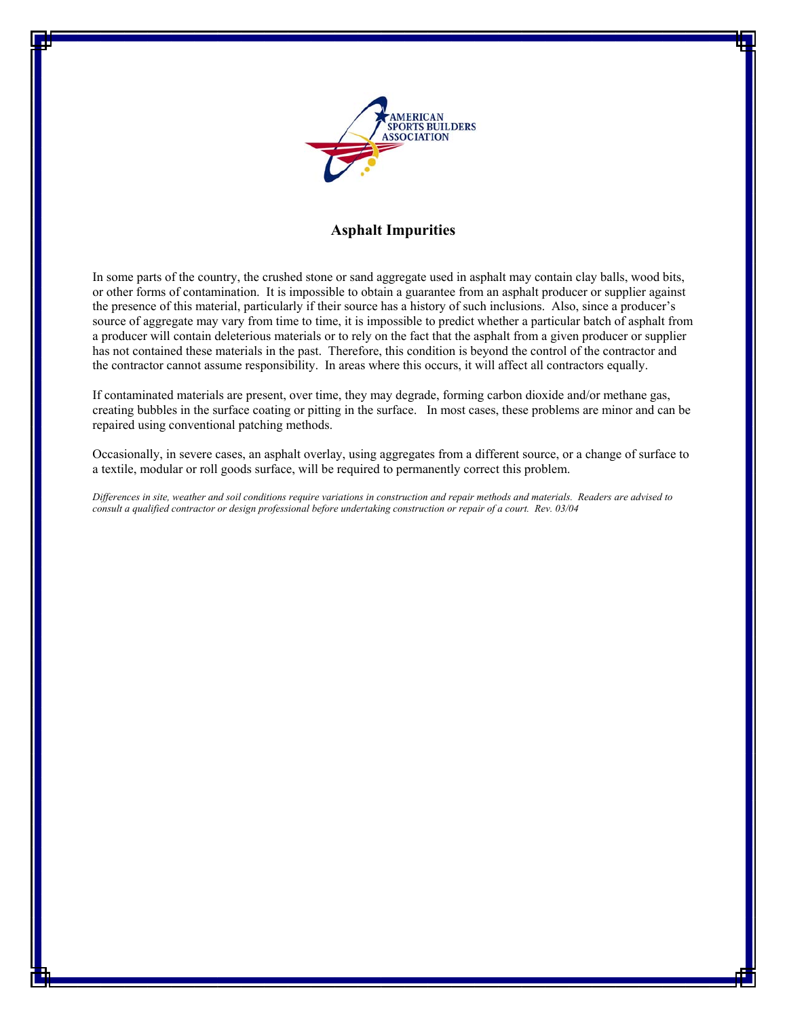

# **Asphalt Impurities**

In some parts of the country, the crushed stone or sand aggregate used in asphalt may contain clay balls, wood bits, or other forms of contamination. It is impossible to obtain a guarantee from an asphalt producer or supplier against the presence of this material, particularly if their source has a history of such inclusions. Also, since a producer's source of aggregate may vary from time to time, it is impossible to predict whether a particular batch of asphalt from a producer will contain deleterious materials or to rely on the fact that the asphalt from a given producer or supplier has not contained these materials in the past. Therefore, this condition is beyond the control of the contractor and the contractor cannot assume responsibility. In areas where this occurs, it will affect all contractors equally.

If contaminated materials are present, over time, they may degrade, forming carbon dioxide and/or methane gas, creating bubbles in the surface coating or pitting in the surface. In most cases, these problems are minor and can be repaired using conventional patching methods.

Occasionally, in severe cases, an asphalt overlay, using aggregates from a different source, or a change of surface to a textile, modular or roll goods surface, will be required to permanently correct this problem.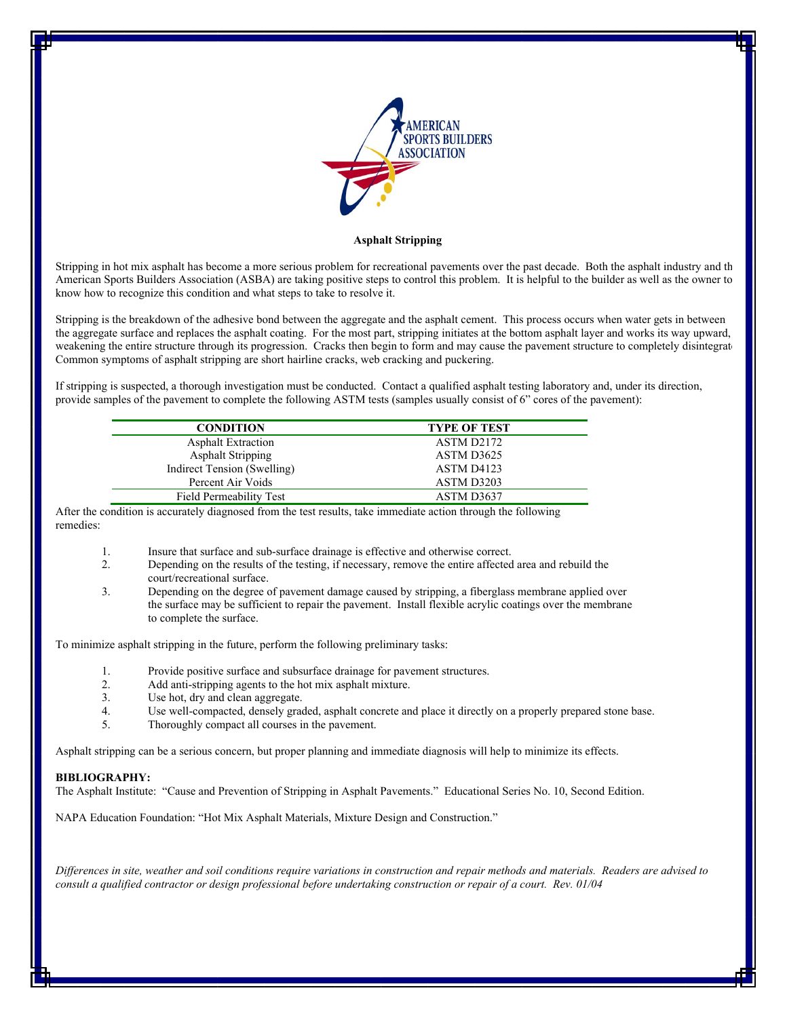

#### **Asphalt Stripping**

Stripping in hot mix asphalt has become a more serious problem for recreational pavements over the past decade. Both the asphalt industry and the American Sports Builders Association (ASBA) are taking positive steps to control this problem. It is helpful to the builder as well as the owner to know how to recognize this condition and what steps to take to resolve it.

Stripping is the breakdown of the adhesive bond between the aggregate and the asphalt cement. This process occurs when water gets in between the aggregate surface and replaces the asphalt coating. For the most part, stripping initiates at the bottom asphalt layer and works its way upward, weakening the entire structure through its progression. Cracks then begin to form and may cause the pavement structure to completely disintegrate. Common symptoms of asphalt stripping are short hairline cracks, web cracking and puckering.

If stripping is suspected, a thorough investigation must be conducted. Contact a qualified asphalt testing laboratory and, under its direction, provide samples of the pavement to complete the following ASTM tests (samples usually consist of 6" cores of the pavement):

| <b>CONDITION</b>            | <b>TYPE OF TEST</b> |
|-----------------------------|---------------------|
| <b>Asphalt Extraction</b>   | ASTM D2172          |
| <b>Asphalt Stripping</b>    | ASTM D3625          |
| Indirect Tension (Swelling) | ASTM D4123          |
| Percent Air Voids           | ASTM D3203          |
| Field Permeability Test     | ASTM D3637          |

After the condition is accurately diagnosed from the test results, take immediate action through the following remedies:

- 1. Insure that surface and sub-surface drainage is effective and otherwise correct.
- 2. Depending on the results of the testing, if necessary, remove the entire affected area and rebuild the court/recreational surface.
- 3. Depending on the degree of pavement damage caused by stripping, a fiberglass membrane applied over the surface may be sufficient to repair the pavement. Install flexible acrylic coatings over the membrane to complete the surface.

To minimize asphalt stripping in the future, perform the following preliminary tasks:

- 1. Provide positive surface and subsurface drainage for pavement structures.
- 2. Add anti-stripping agents to the hot mix asphalt mixture.
- 3. Use hot, dry and clean aggregate.
- 4. Use well-compacted, densely graded, asphalt concrete and place it directly on a properly prepared stone base.
- 5. Thoroughly compact all courses in the pavement.

Asphalt stripping can be a serious concern, but proper planning and immediate diagnosis will help to minimize its effects.

#### **BIBLIOGRAPHY:**

The Asphalt Institute: "Cause and Prevention of Stripping in Asphalt Pavements." Educational Series No. 10, Second Edition.

NAPA Education Foundation: "Hot Mix Asphalt Materials, Mixture Design and Construction."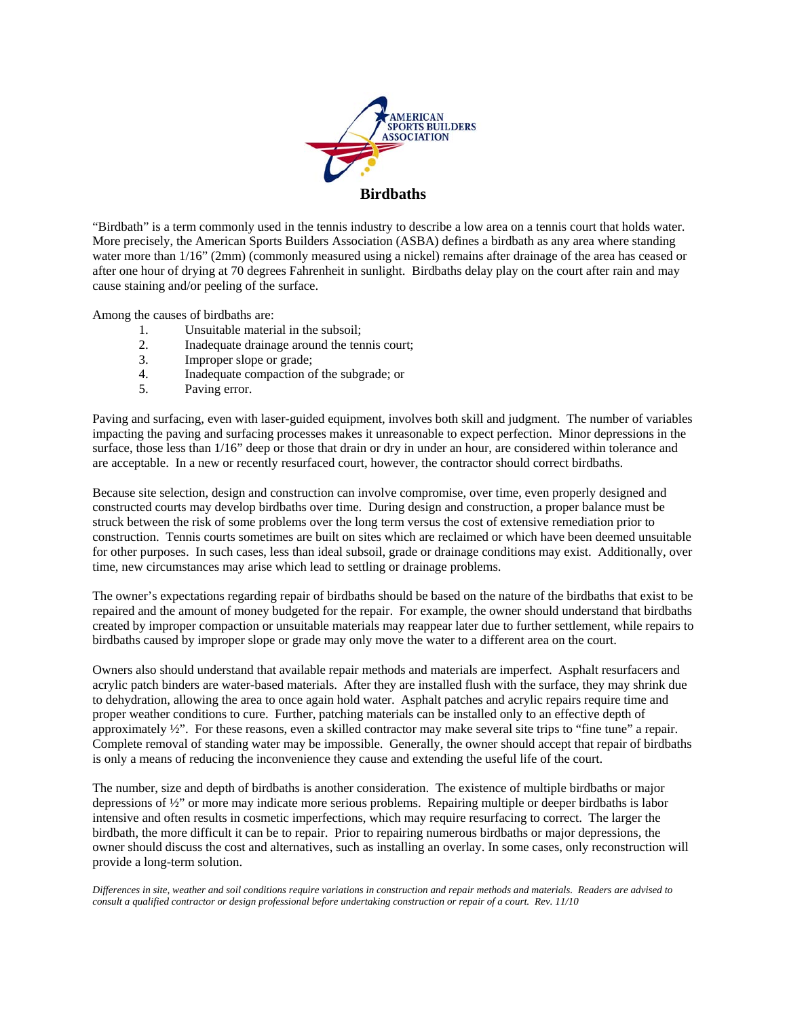

"Birdbath" is a term commonly used in the tennis industry to describe a low area on a tennis court that holds water. More precisely, the American Sports Builders Association (ASBA) defines a birdbath as any area where standing water more than  $1/16$ " (2mm) (commonly measured using a nickel) remains after drainage of the area has ceased or after one hour of drying at 70 degrees Fahrenheit in sunlight. Birdbaths delay play on the court after rain and may cause staining and/or peeling of the surface.

Among the causes of birdbaths are:

- 1. Unsuitable material in the subsoil;
- 2. Inadequate drainage around the tennis court;
- 3. Improper slope or grade;
- 4. Inadequate compaction of the subgrade; or
- 5. Paving error.

Paving and surfacing, even with laser-guided equipment, involves both skill and judgment. The number of variables impacting the paving and surfacing processes makes it unreasonable to expect perfection. Minor depressions in the surface, those less than 1/16" deep or those that drain or dry in under an hour, are considered within tolerance and are acceptable. In a new or recently resurfaced court, however, the contractor should correct birdbaths.

Because site selection, design and construction can involve compromise, over time, even properly designed and constructed courts may develop birdbaths over time. During design and construction, a proper balance must be struck between the risk of some problems over the long term versus the cost of extensive remediation prior to construction. Tennis courts sometimes are built on sites which are reclaimed or which have been deemed unsuitable for other purposes. In such cases, less than ideal subsoil, grade or drainage conditions may exist. Additionally, over time, new circumstances may arise which lead to settling or drainage problems.

The owner's expectations regarding repair of birdbaths should be based on the nature of the birdbaths that exist to be repaired and the amount of money budgeted for the repair. For example, the owner should understand that birdbaths created by improper compaction or unsuitable materials may reappear later due to further settlement, while repairs to birdbaths caused by improper slope or grade may only move the water to a different area on the court.

Owners also should understand that available repair methods and materials are imperfect. Asphalt resurfacers and acrylic patch binders are water-based materials. After they are installed flush with the surface, they may shrink due to dehydration, allowing the area to once again hold water. Asphalt patches and acrylic repairs require time and proper weather conditions to cure. Further, patching materials can be installed only to an effective depth of approximately ½". For these reasons, even a skilled contractor may make several site trips to "fine tune" a repair. Complete removal of standing water may be impossible. Generally, the owner should accept that repair of birdbaths is only a means of reducing the inconvenience they cause and extending the useful life of the court.

The number, size and depth of birdbaths is another consideration. The existence of multiple birdbaths or major depressions of ½" or more may indicate more serious problems. Repairing multiple or deeper birdbaths is labor intensive and often results in cosmetic imperfections, which may require resurfacing to correct. The larger the birdbath, the more difficult it can be to repair. Prior to repairing numerous birdbaths or major depressions, the owner should discuss the cost and alternatives, such as installing an overlay. In some cases, only reconstruction will provide a long-term solution.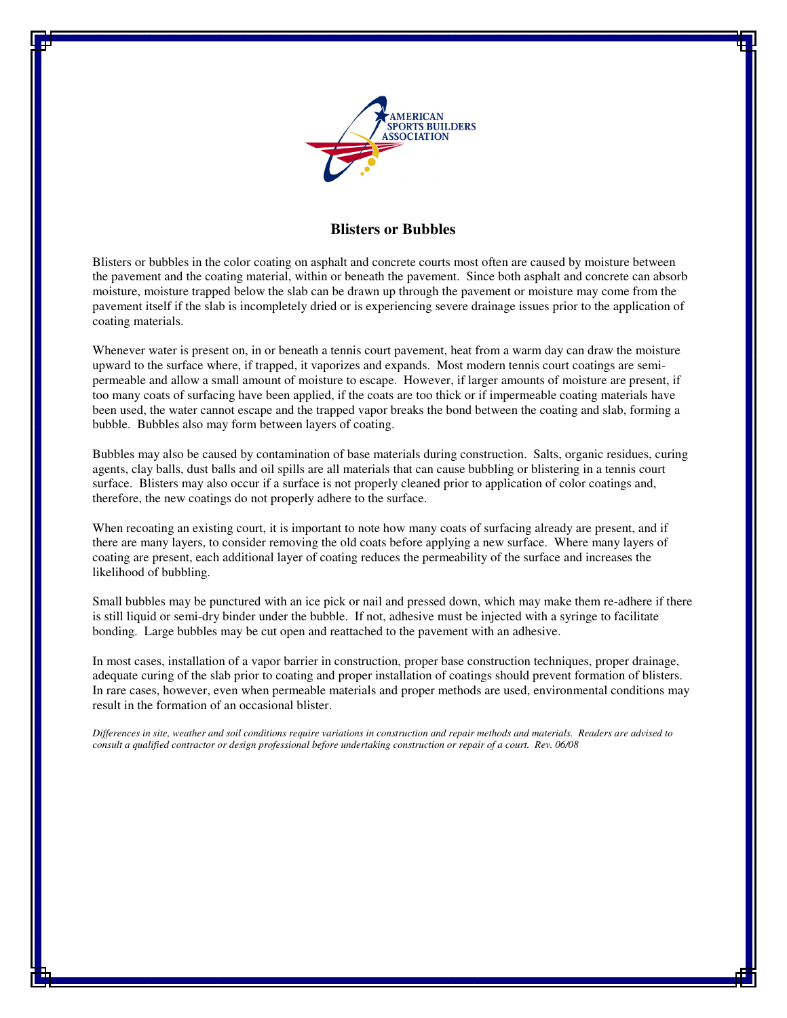

## **Blisters or Bubbles**

Blisters or bubbles in the color coating on asphalt and concrete courts most often are caused by moisture between the pavement and the coating material, within or beneath the pavement. Since both asphalt and concrete can absorb moisture, moisture trapped below the slab can be drawn up through the pavement or moisture may come from the pavement itself if the slab is incompletely dried or is experiencing severe drainage issues prior to the application of coating materials.

Whenever water is present on, in or beneath a tennis court pavement, heat from a warm day can draw the moisture upward to the surface where, if trapped, it vaporizes and expands. Most modern tennis court coatings are semipermeable and allow a small amount of moisture to escape. However, if larger amounts of moisture are present, if too many coats of surfacing have been applied, if the coats are too thick or if impermeable coating materials have been used, the water cannot escape and the trapped vapor breaks the bond between the coating and slab, forming a bubble. Bubbles also may form between layers of coating.

Bubbles may also be caused by contamination of base materials during construction. Salts, organic residues, curing agents, clay balls, dust balls and oil spills are all materials that can cause bubbling or blistering in a tennis court surface. Blisters may also occur if a surface is not properly cleaned prior to application of color coatings and, therefore, the new coatings do not properly adhere to the surface.

When recoating an existing court, it is important to note how many coats of surfacing already are present, and if there are many layers, to consider removing the old coats before applying a new surface. Where many layers of coating are present, each additional layer of coating reduces the permeability of the surface and increases the likelihood of bubbling.

Small bubbles may be punctured with an ice pick or nail and pressed down, which may make them re-adhere if there is still liquid or semi-dry binder under the bubble. If not, adhesive must be injected with a syringe to facilitate bonding. Large bubbles may be cut open and reattached to the pavement with an adhesive.

In most cases, installation of a vapor barrier in construction, proper base construction techniques, proper drainage, adequate curing of the slab prior to coating and proper installation of coatings should prevent formation of blisters. In rare cases, however, even when permeable materials and proper methods are used, environmental conditions may result in the formation of an occasional blister.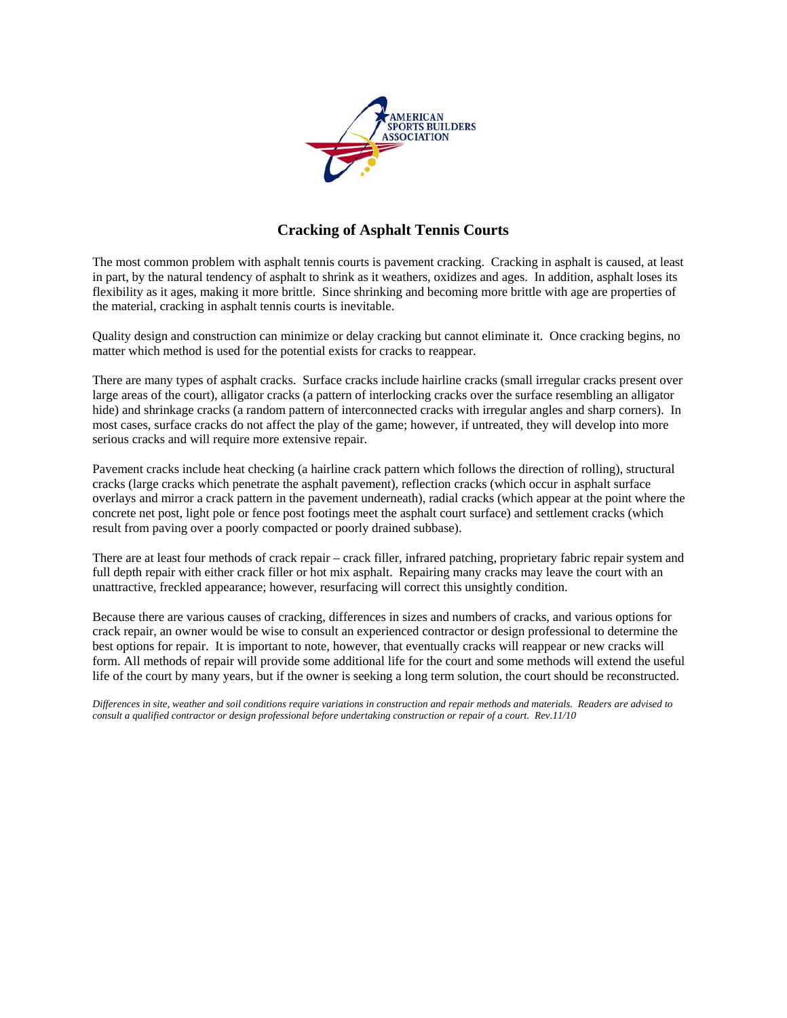

# **Cracking of Asphalt Tennis Courts**

The most common problem with asphalt tennis courts is pavement cracking. Cracking in asphalt is caused, at least in part, by the natural tendency of asphalt to shrink as it weathers, oxidizes and ages. In addition, asphalt loses its flexibility as it ages, making it more brittle. Since shrinking and becoming more brittle with age are properties of the material, cracking in asphalt tennis courts is inevitable.

Quality design and construction can minimize or delay cracking but cannot eliminate it. Once cracking begins, no matter which method is used for the potential exists for cracks to reappear.

There are many types of asphalt cracks. Surface cracks include hairline cracks (small irregular cracks present over large areas of the court), alligator cracks (a pattern of interlocking cracks over the surface resembling an alligator hide) and shrinkage cracks (a random pattern of interconnected cracks with irregular angles and sharp corners). In most cases, surface cracks do not affect the play of the game; however, if untreated, they will develop into more serious cracks and will require more extensive repair.

Pavement cracks include heat checking (a hairline crack pattern which follows the direction of rolling), structural cracks (large cracks which penetrate the asphalt pavement), reflection cracks (which occur in asphalt surface overlays and mirror a crack pattern in the pavement underneath), radial cracks (which appear at the point where the concrete net post, light pole or fence post footings meet the asphalt court surface) and settlement cracks (which result from paving over a poorly compacted or poorly drained subbase).

There are at least four methods of crack repair – crack filler, infrared patching, proprietary fabric repair system and full depth repair with either crack filler or hot mix asphalt. Repairing many cracks may leave the court with an unattractive, freckled appearance; however, resurfacing will correct this unsightly condition.

Because there are various causes of cracking, differences in sizes and numbers of cracks, and various options for crack repair, an owner would be wise to consult an experienced contractor or design professional to determine the best options for repair. It is important to note, however, that eventually cracks will reappear or new cracks will form. All methods of repair will provide some additional life for the court and some methods will extend the useful life of the court by many years, but if the owner is seeking a long term solution, the court should be reconstructed.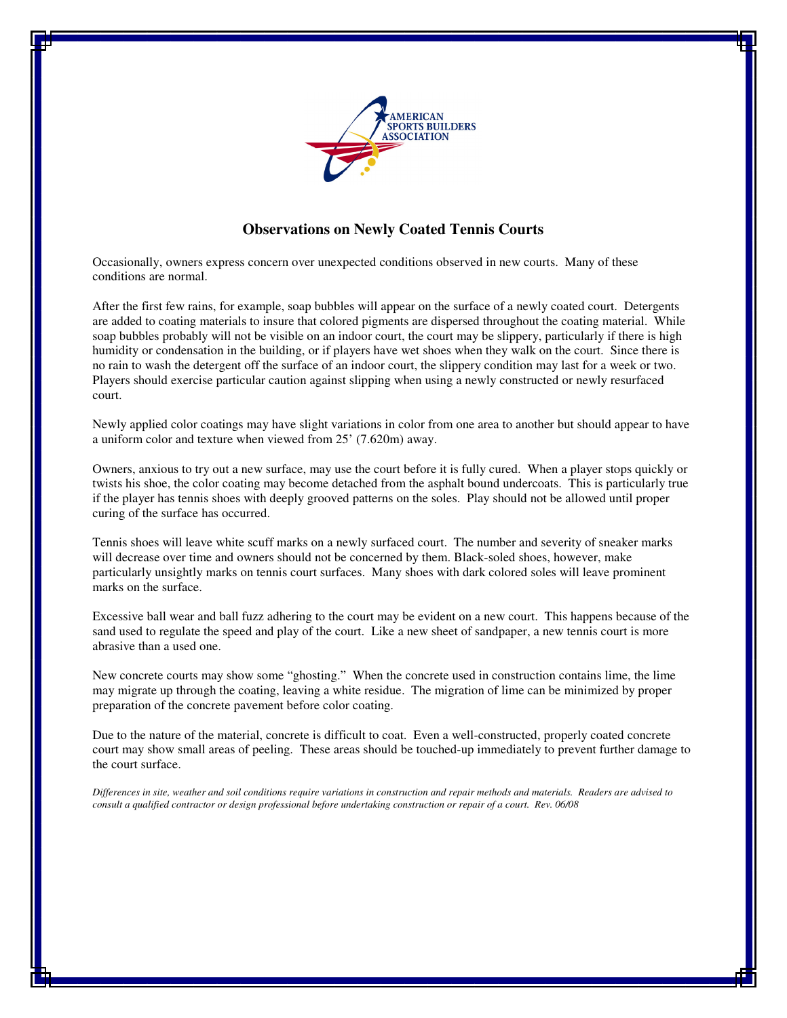

## **Observations on Newly Coated Tennis Courts**

Occasionally, owners express concern over unexpected conditions observed in new courts. Many of these conditions are normal.

After the first few rains, for example, soap bubbles will appear on the surface of a newly coated court. Detergents are added to coating materials to insure that colored pigments are dispersed throughout the coating material. While soap bubbles probably will not be visible on an indoor court, the court may be slippery, particularly if there is high humidity or condensation in the building, or if players have wet shoes when they walk on the court. Since there is no rain to wash the detergent off the surface of an indoor court, the slippery condition may last for a week or two. Players should exercise particular caution against slipping when using a newly constructed or newly resurfaced court.

Newly applied color coatings may have slight variations in color from one area to another but should appear to have a uniform color and texture when viewed from 25' (7.620m) away.

Owners, anxious to try out a new surface, may use the court before it is fully cured. When a player stops quickly or twists his shoe, the color coating may become detached from the asphalt bound undercoats. This is particularly true if the player has tennis shoes with deeply grooved patterns on the soles. Play should not be allowed until proper curing of the surface has occurred.

Tennis shoes will leave white scuff marks on a newly surfaced court. The number and severity of sneaker marks will decrease over time and owners should not be concerned by them. Black-soled shoes, however, make particularly unsightly marks on tennis court surfaces. Many shoes with dark colored soles will leave prominent marks on the surface.

Excessive ball wear and ball fuzz adhering to the court may be evident on a new court. This happens because of the sand used to regulate the speed and play of the court. Like a new sheet of sandpaper, a new tennis court is more abrasive than a used one.

New concrete courts may show some "ghosting." When the concrete used in construction contains lime, the lime may migrate up through the coating, leaving a white residue. The migration of lime can be minimized by proper preparation of the concrete pavement before color coating.

Due to the nature of the material, concrete is difficult to coat. Even a well-constructed, properly coated concrete court may show small areas of peeling. These areas should be touched-up immediately to prevent further damage to the court surface.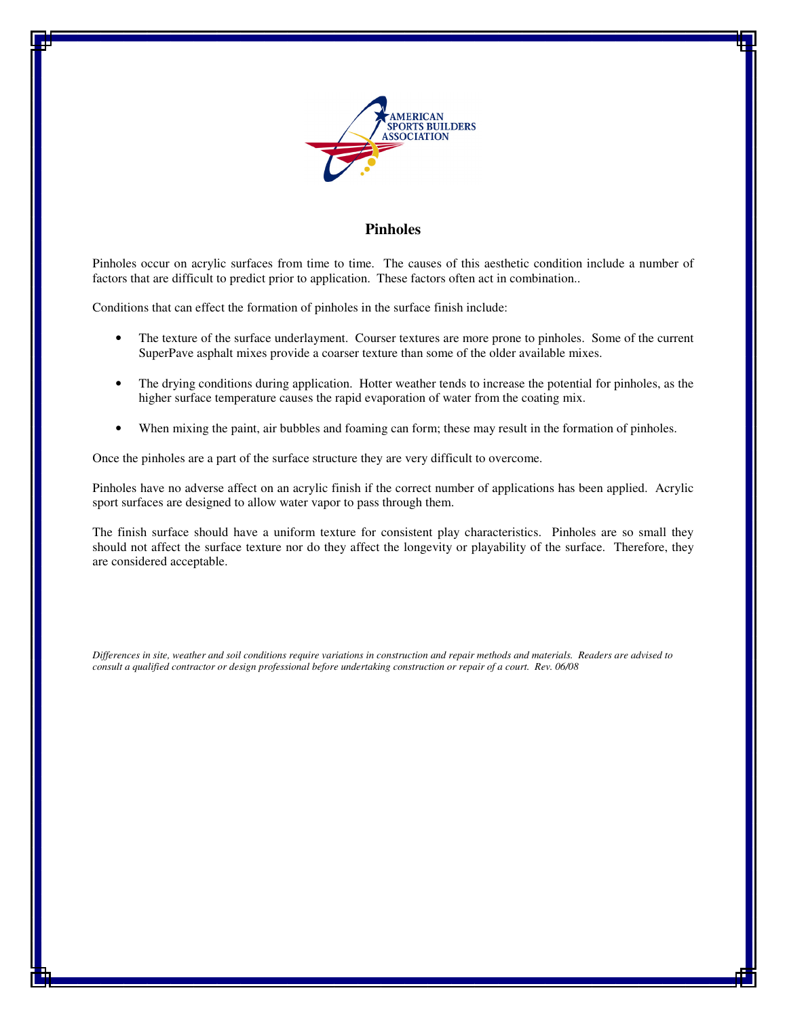

## **Pinholes**

Pinholes occur on acrylic surfaces from time to time. The causes of this aesthetic condition include a number of factors that are difficult to predict prior to application. These factors often act in combination..

Conditions that can effect the formation of pinholes in the surface finish include:

- The texture of the surface underlayment. Courser textures are more prone to pinholes. Some of the current SuperPave asphalt mixes provide a coarser texture than some of the older available mixes.
- The drying conditions during application. Hotter weather tends to increase the potential for pinholes, as the higher surface temperature causes the rapid evaporation of water from the coating mix.
- When mixing the paint, air bubbles and foaming can form; these may result in the formation of pinholes.

Once the pinholes are a part of the surface structure they are very difficult to overcome.

Pinholes have no adverse affect on an acrylic finish if the correct number of applications has been applied. Acrylic sport surfaces are designed to allow water vapor to pass through them.

The finish surface should have a uniform texture for consistent play characteristics. Pinholes are so small they should not affect the surface texture nor do they affect the longevity or playability of the surface. Therefore, they are considered acceptable.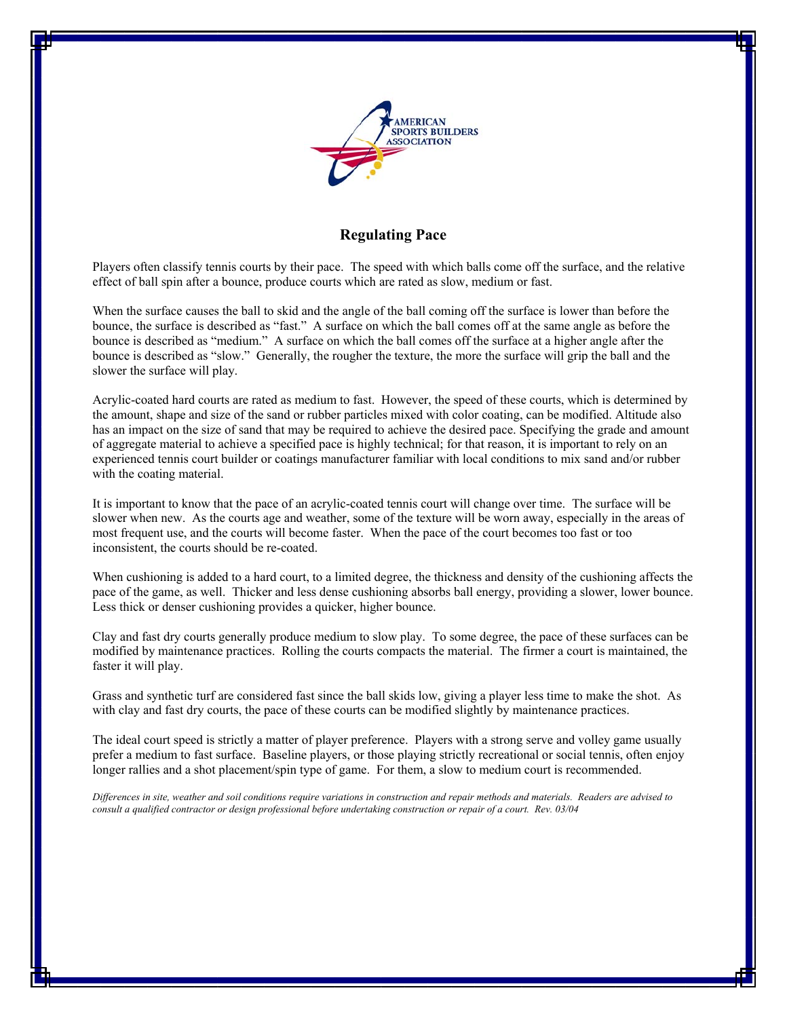

# **Regulating Pace**

Players often classify tennis courts by their pace. The speed with which balls come off the surface, and the relative effect of ball spin after a bounce, produce courts which are rated as slow, medium or fast.

When the surface causes the ball to skid and the angle of the ball coming off the surface is lower than before the bounce, the surface is described as "fast." A surface on which the ball comes off at the same angle as before the bounce is described as "medium." A surface on which the ball comes off the surface at a higher angle after the bounce is described as "slow." Generally, the rougher the texture, the more the surface will grip the ball and the slower the surface will play.

Acrylic-coated hard courts are rated as medium to fast. However, the speed of these courts, which is determined by the amount, shape and size of the sand or rubber particles mixed with color coating, can be modified. Altitude also has an impact on the size of sand that may be required to achieve the desired pace. Specifying the grade and amount of aggregate material to achieve a specified pace is highly technical; for that reason, it is important to rely on an experienced tennis court builder or coatings manufacturer familiar with local conditions to mix sand and/or rubber with the coating material.

It is important to know that the pace of an acrylic-coated tennis court will change over time. The surface will be slower when new. As the courts age and weather, some of the texture will be worn away, especially in the areas of most frequent use, and the courts will become faster. When the pace of the court becomes too fast or too inconsistent, the courts should be re-coated.

When cushioning is added to a hard court, to a limited degree, the thickness and density of the cushioning affects the pace of the game, as well. Thicker and less dense cushioning absorbs ball energy, providing a slower, lower bounce. Less thick or denser cushioning provides a quicker, higher bounce.

Clay and fast dry courts generally produce medium to slow play. To some degree, the pace of these surfaces can be modified by maintenance practices. Rolling the courts compacts the material. The firmer a court is maintained, the faster it will play.

Grass and synthetic turf are considered fast since the ball skids low, giving a player less time to make the shot. As with clay and fast dry courts, the pace of these courts can be modified slightly by maintenance practices.

The ideal court speed is strictly a matter of player preference. Players with a strong serve and volley game usually prefer a medium to fast surface. Baseline players, or those playing strictly recreational or social tennis, often enjoy longer rallies and a shot placement/spin type of game. For them, a slow to medium court is recommended.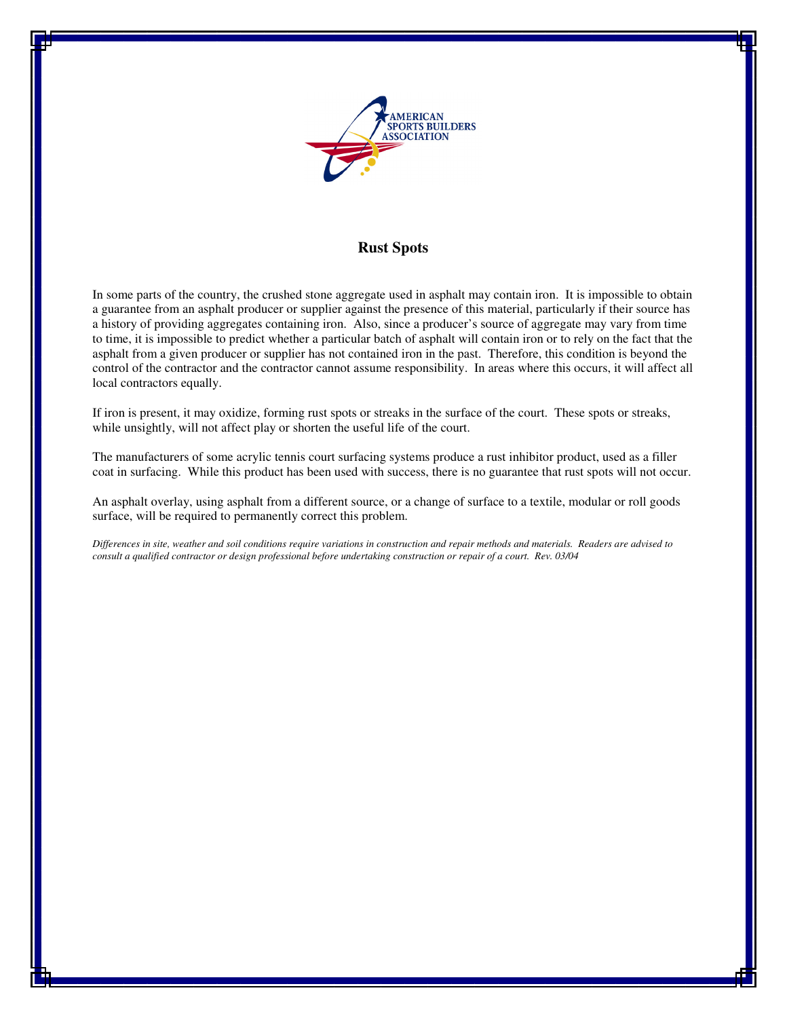

## **Rust Spots**

In some parts of the country, the crushed stone aggregate used in asphalt may contain iron. It is impossible to obtain a guarantee from an asphalt producer or supplier against the presence of this material, particularly if their source has a history of providing aggregates containing iron. Also, since a producer's source of aggregate may vary from time to time, it is impossible to predict whether a particular batch of asphalt will contain iron or to rely on the fact that the asphalt from a given producer or supplier has not contained iron in the past. Therefore, this condition is beyond the control of the contractor and the contractor cannot assume responsibility. In areas where this occurs, it will affect all local contractors equally.

If iron is present, it may oxidize, forming rust spots or streaks in the surface of the court. These spots or streaks, while unsightly, will not affect play or shorten the useful life of the court.

The manufacturers of some acrylic tennis court surfacing systems produce a rust inhibitor product, used as a filler coat in surfacing. While this product has been used with success, there is no guarantee that rust spots will not occur.

An asphalt overlay, using asphalt from a different source, or a change of surface to a textile, modular or roll goods surface, will be required to permanently correct this problem.